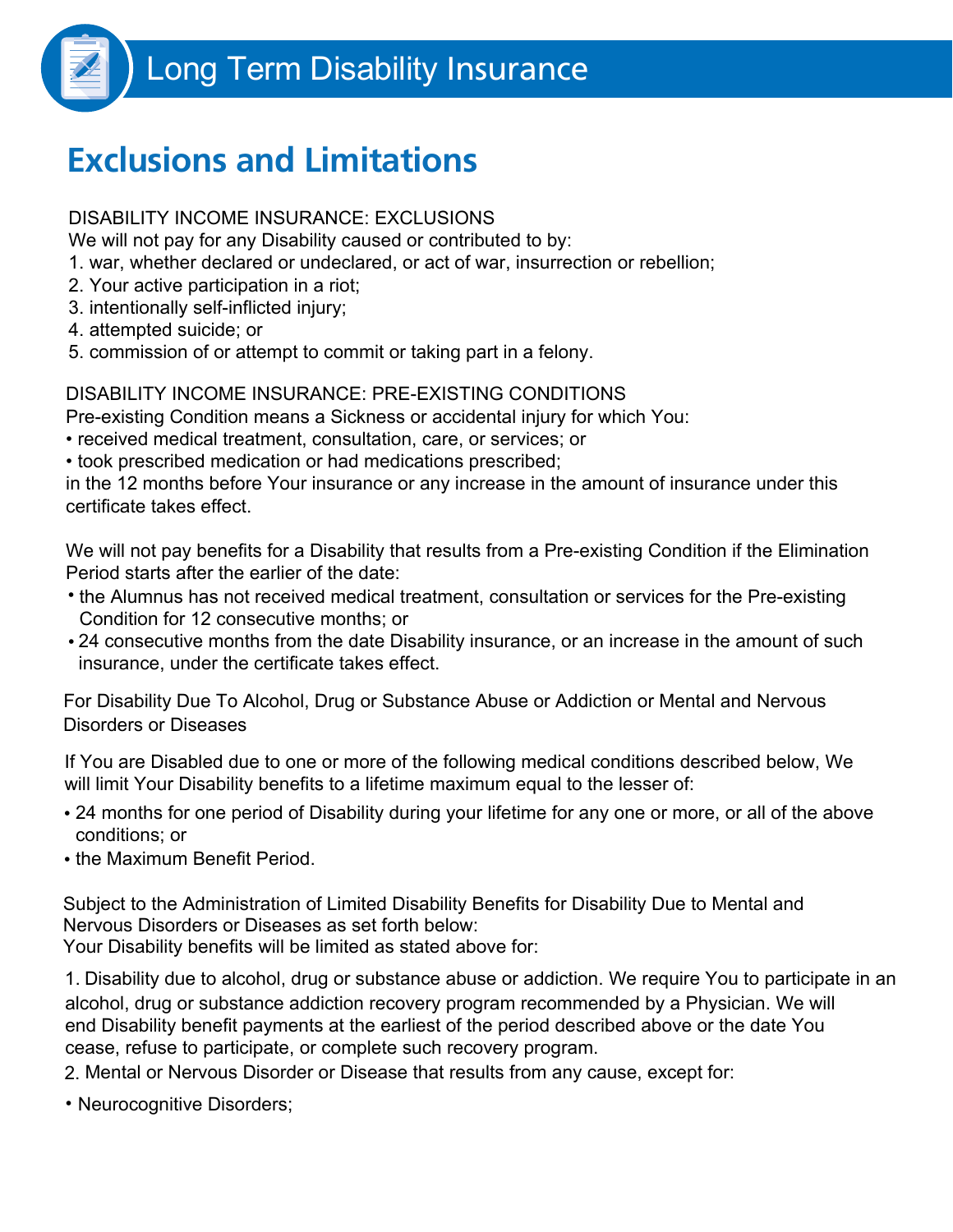

# **Exclusions and Limitations**

### DISABILITY INCOME INSURANCE: EXCLUSIONS

We will not pay for any Disability caused or contributed to by:

- 1. war, whether declared or undeclared, or act of war, insurrection or rebellion;
- 2. Your active participation in a riot;
- 3. intentionally self-inflicted injury;
- 4. attempted suicide; or
- 5. commission of or attempt to commit or taking part in a felony.

## DISABILITY INCOME INSURANCE: PRE-EXISTING CONDITIONS

Pre-existing Condition means a Sickness or accidental injury for which You:

- received medical treatment, consultation, care, or services; or
- took prescribed medication or had medications prescribed;

in the 12 months before Your insurance or any increase in the amount of insurance under this certificate takes effect.

We will not pay benefits for a Disability that results from a Pre-existing Condition if the Elimination Period starts after the earlier of the date:

- the Alumnus has not received medical treatment, consultation or services for the Pre-existing Condition for 12 consecutive months; or
- 24 consecutive months from the date Disability insurance, or an increase in the amount of such insurance, under the certificate takes effect.

For Disability Due To Alcohol, Drug or Substance Abuse or Addiction or Mental and Nervous Disorders or Diseases

If You are Disabled due to one or more of the following medical conditions described below, We will limit Your Disability benefits to a lifetime maximum equal to the lesser of:

- 24 months for one period of Disability during your lifetime for any one or more, or all of the above conditions; or
- the Maximum Benefit Period.

Subject to the Administration of Limited Disability Benefits for Disability Due to Mental and Nervous Disorders or Diseases as set forth below: Your Disability benefits will be limited as stated above for:

1. Disability due to alcohol, drug or substance abuse or addiction. We require You to participate in an alcohol, drug or substance addiction recovery program recommended by a Physician. We will end Disability benefit payments at the earliest of the period described above or the date You cease, refuse to participate, or complete such recovery program.

2. Mental or Nervous Disorder or Disease that results from any cause, except for:

• Neurocognitive Disorders;